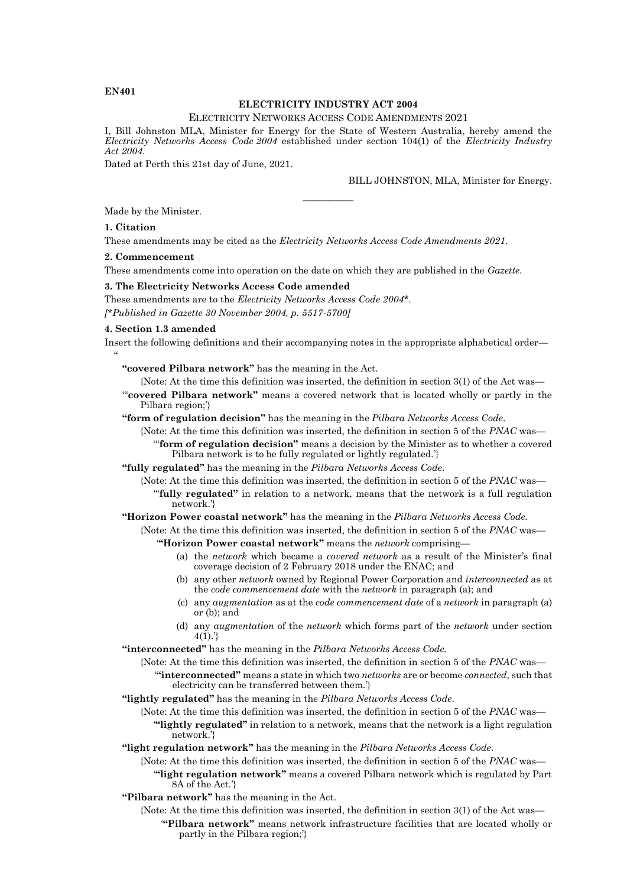### **EN401**

## **ELECTRICITY INDUSTRY ACT 2004**

#### ELECTRICITY NETWORKS ACCESS CODE AMENDMENTS 2021

I, Bill Johnston MLA, Minister for Energy for the State of Western Australia, hereby amend the *Electricity Networks Access Code 2004* established under section 104(1) of the *Electricity Industry Act 2004*.

————

Dated at Perth this 21st day of June, 2021.

BILL JOHNSTON, MLA, Minister for Energy.

Made by the Minister.

#### **1. Citation**

These amendments may be cited as the *Electricity Networks Access Code Amendments 2021.*

#### **2. Commencement**

These amendments come into operation on the date on which they are published in the *Gazette*.

#### **3. The Electricity Networks Access Code amended**

These amendments are to the *Electricity Networks Access Code 2004\**. *[\*Published in Gazette 30 November 2004, p. 5517-5700]*

#### **4. Section 1.3 amended**

Insert the following definitions and their accompanying notes in the appropriate alphabetical order—  $\ddot{\phantom{0}}$ 

**"covered Pilbara network"** has the meaning in the Act.

{Note: At the time this definition was inserted, the definition in section 3(1) of the Act was—

'"**covered Pilbara network"** means a covered network that is located wholly or partly in the Pilbara region;'}

**"form of regulation decision"** has the meaning in the *Pilbara Networks Access Code*.

- {Note: At the time this definition was inserted, the definition in section 5 of the *PNAC* was— '"**form of regulation decision"** means a decision by the Minister as to whether a covered Pilbara network is to be fully regulated or lightly regulated.'}
- **"fully regulated"** has the meaning in the *Pilbara Networks Access Code*.
	- {Note: At the time this definition was inserted, the definition in section 5 of the *PNAC* was— '"**fully regulated"** in relation to a network, means that the network is a full regulation network.'}

**"Horizon Power coastal network"** has the meaning in the *Pilbara Networks Access Code.*

{Note: At the time this definition was inserted, the definition in section 5 of the *PNAC* was—

- '**"Horizon Power coastal network"** means the *network* comprising—
	- (a) the *network* which became a *covered network* as a result of the Minister's final coverage decision of 2 February 2018 under the ENAC; and
	- (b) any other *network* owned by Regional Power Corporation and *interconnected* as at the *code commencement date* with the *network* in paragraph (a); and
	- (c) any *augmentation* as at the *code commencement date* of a *network* in paragraph (a) or (b); and
	- (d) any *augmentation* of the *network* which forms part of the *network* under section  $4(1).$

**"interconnected"** has the meaning in the *Pilbara Networks Access Code.*

{Note: At the time this definition was inserted, the definition in section 5 of the *PNAC* was— '**"interconnected"** means a state in which two *networks* are or become *connected*, such that electricity can be transferred between them.'}

**"lightly regulated"** has the meaning in the *Pilbara Networks Access Code*.

{Note: At the time this definition was inserted, the definition in section 5 of the *PNAC* was— '**"lightly regulated"** in relation to a network, means that the network is a light regulation network.'}

**"light regulation network"** has the meaning in the *Pilbara Networks Access Code*.

- {Note: At the time this definition was inserted, the definition in section 5 of the *PNAC* was— '**"light regulation network"** means a covered Pilbara network which is regulated by Part 8A of the Act.'}
- **"Pilbara network"** has the meaning in the Act.
	- {Note: At the time this definition was inserted, the definition in section 3(1) of the Act was— '**"Pilbara network"** means network infrastructure facilities that are located wholly or partly in the Pilbara region;'}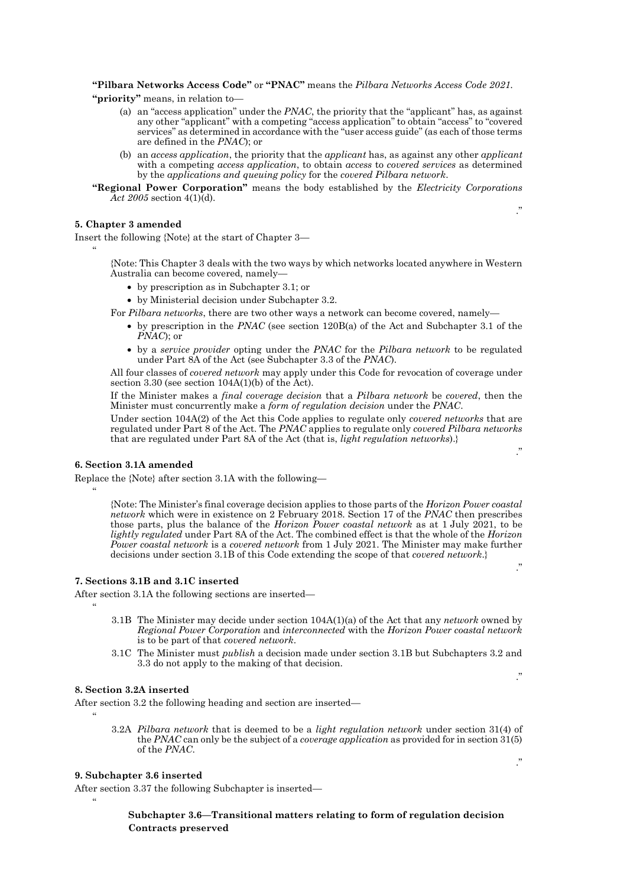**"Pilbara Networks Access Code"** or **"PNAC"** means the *Pilbara Networks Access Code 2021.*

**"priority"** means, in relation to—

- (a) an "access application" under the *PNAC*, the priority that the "applicant" has, as against any other "applicant" with a competing "access application" to obtain "access" to "covered services" as determined in accordance with the "user access guide" (as each of those terms are defined in the *PNAC*); or
- (b) an *access application*, the priority that the *applicant* has, as against any other *applicant* with a competing *access application*, to obtain *access* to *covered services* as determined by the *applications and queuing policy* for the *covered Pilbara network*.

."

."

."

."

."

**"Regional Power Corporation"** means the body established by the *Electricity Corporations Act 2005* section 4(1)(d).

## **5. Chapter 3 amended**

 $\ddot{\phantom{0}}$ 

Insert the following {Note} at the start of Chapter 3—

{Note: This Chapter 3 deals with the two ways by which networks located anywhere in Western Australia can become covered, namely—

- by prescription as in Subchapter 3.1; or
- by Ministerial decision under Subchapter 3.2.

For *Pilbara networks*, there are two other ways a network can become covered, namely—

- by prescription in the *PNAC* (see section 120B(a) of the Act and Subchapter 3.1 of the *PNAC*); or
- by a *service provider* opting under the *PNAC* for the *Pilbara network* to be regulated under Part 8A of the Act (see Subchapter 3.3 of the *PNAC*).

All four classes of *covered network* may apply under this Code for revocation of coverage under section 3.30 (see section 104A(1)(b) of the Act).

If the Minister makes a *final coverage decision* that a *Pilbara network* be *covered*, then the Minister must concurrently make a *form of regulation decision* under the *PNAC*.

Under section 104A(2) of the Act this Code applies to regulate only *covered networks* that are regulated under Part 8 of the Act. The *PNAC* applies to regulate only *covered Pilbara networks* that are regulated under Part 8A of the Act (that is, *light regulation networks*).}

#### **6. Section 3.1A amended**

Replace the {Note} after section 3.1A with the following—

{Note: The Minister's final coverage decision applies to those parts of the *Horizon Power coastal network* which were in existence on 2 February 2018. Section 17 of the *PNAC* then prescribes those parts, plus the balance of the *Horizon Power coastal network* as at 1 July 2021, to be *lightly regulated* under Part 8A of the Act. The combined effect is that the whole of the *Horizon Power coastal network* is a *covered network* from 1 July 2021. The Minister may make further decisions under section 3.1B of this Code extending the scope of that *covered network*.}

#### **7. Sections 3.1B and 3.1C inserted**

After section 3.1A the following sections are inserted—

 $\ddot{\phantom{0}}$ 

 $\alpha$ 

 $\alpha$ 

 $\ddot{\phantom{0}}$ 

- 3.1B The Minister may decide under section 104A(1)(a) of the Act that any *network* owned by *Regional Power Corporation* and *interconnected* with the *Horizon Power coastal network* is to be part of that *covered network*.
- 3.1C The Minister must *publish* a decision made under section 3.1B but Subchapters 3.2 and 3.3 do not apply to the making of that decision.

## **8. Section 3.2A inserted**

After section 3.2 the following heading and section are inserted—

3.2A *Pilbara network* that is deemed to be a *light regulation network* under section 31(4) of the *PNAC* can only be the subject of a *coverage application* as provided for in section 31(5) of the *PNAC*.

## **9. Subchapter 3.6 inserted**

After section 3.37 the following Subchapter is inserted—

## **Subchapter 3.6—Transitional matters relating to form of regulation decision Contracts preserved**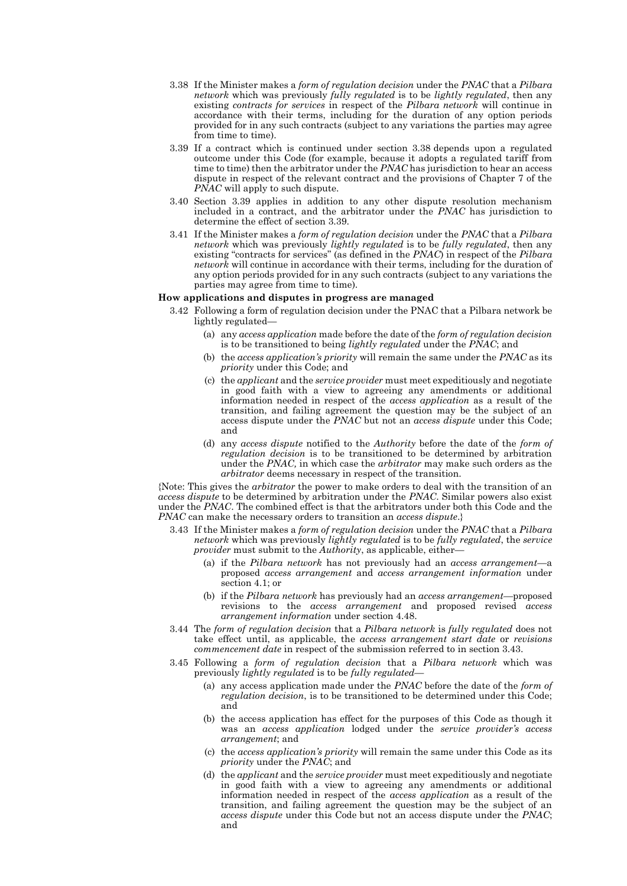- 3.38 If the Minister makes a *form of regulation decision* under the *PNAC* that a *Pilbara network* which was previously *fully regulated* is to be *lightly regulated*, then any existing *contracts for services* in respect of the *Pilbara network* will continue in accordance with their terms, including for the duration of any option periods provided for in any such contracts (subject to any variations the parties may agree from time to time).
- 3.39 If a contract which is continued under section 3.38 depends upon a regulated outcome under this Code (for example, because it adopts a regulated tariff from time to time) then the arbitrator under the *PNAC* has jurisdiction to hear an access dispute in respect of the relevant contract and the provisions of Chapter 7 of the *PNAC* will apply to such dispute.
- 3.40 Section 3.39 applies in addition to any other dispute resolution mechanism included in a contract, and the arbitrator under the *PNAC* has jurisdiction to determine the effect of section 3.39.
- 3.41 If the Minister makes a *form of regulation decision* under the *PNAC* that a *Pilbara network* which was previously *lightly regulated* is to be *fully regulated*, then any existing "contracts for services" (as defined in the *PNAC*) in respect of the *Pilbara network* will continue in accordance with their terms, including for the duration of any option periods provided for in any such contracts (subject to any variations the parties may agree from time to time).

#### **How applications and disputes in progress are managed**

- 3.42 Following a form of regulation decision under the PNAC that a Pilbara network be lightly regulated—
	- (a) any *access application* made before the date of the *form of regulation decision* is to be transitioned to being *lightly regulated* under the *PNAC*; and
	- (b) the *access application's priority* will remain the same under the *PNAC* as its *priority* under this Code; and
	- (c) the *applicant* and the *service provider* must meet expeditiously and negotiate in good faith with a view to agreeing any amendments or additional information needed in respect of the *access application* as a result of the transition, and failing agreement the question may be the subject of an access dispute under the *PNAC* but not an *access dispute* under this Code; and
	- (d) any *access dispute* notified to the *Authority* before the date of the *form of regulation decision* is to be transitioned to be determined by arbitration under the *PNAC,* in which case the *arbitrator* may make such orders as the *arbitrator* deems necessary in respect of the transition.

{Note: This gives the *arbitrator* the power to make orders to deal with the transition of an *access dispute* to be determined by arbitration under the *PNAC*. Similar powers also exist under the *PNAC*. The combined effect is that the arbitrators under both this Code and the *PNAC* can make the necessary orders to transition an *access dispute*.}

- 3.43 If the Minister makes a *form of regulation decision* under the *PNAC* that a *Pilbara network* which was previously *lightly regulated* is to be *fully regulated*, the *service provider* must submit to the *Authority*, as applicable, either—
	- (a) if the *Pilbara network* has not previously had an *access arrangement*—a proposed *access arrangement* and *access arrangement information* under section 4.1; or
	- (b) if the *Pilbara network* has previously had an *access arrangement*—proposed revisions to the *access arrangement* and proposed revised *access arrangement information* under section 4.48.
- 3.44 The *form of regulation decision* that a *Pilbara network* is *fully regulated* does not take effect until, as applicable, the *access arrangement start date* or *revisions commencement date* in respect of the submission referred to in section 3.43.
- 3.45 Following a *form of regulation decision* that a *Pilbara network* which was previously *lightly regulated* is to be *fully regulated*—
	- (a) any access application made under the *PNAC* before the date of the *form of regulation decision*, is to be transitioned to be determined under this Code; and
	- (b) the access application has effect for the purposes of this Code as though it was an *access application* lodged under the *service provider's access arrangement*; and
	- (c) the *access application's priority* will remain the same under this Code as its *priority* under the *PNAC*; and
	- (d) the *applicant* and the *service provider* must meet expeditiously and negotiate in good faith with a view to agreeing any amendments or additional information needed in respect of the *access application* as a result of the transition, and failing agreement the question may be the subject of an *access dispute* under this Code but not an access dispute under the *PNAC*; and